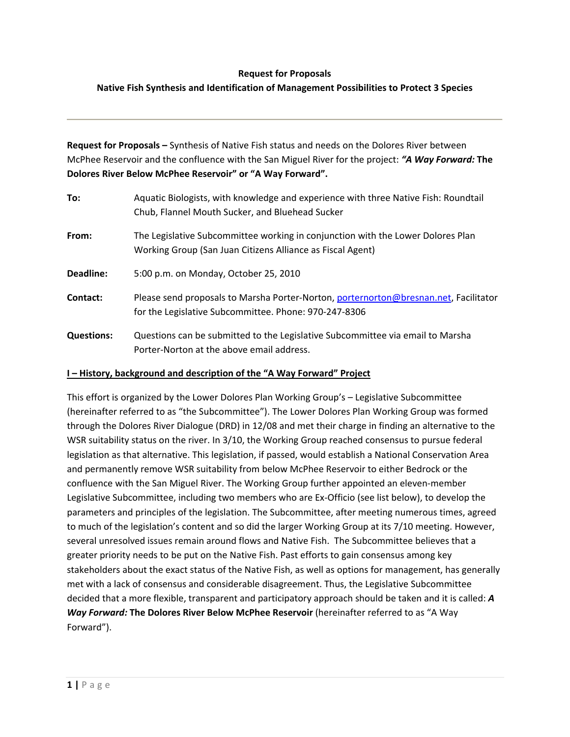### **Request for Proposals**

# **Native Fish Synthesis and Identification of Management Possibilities to Protect 3 Species**

**Request for Proposals –** Synthesis of Native Fish status and needs on the Dolores River between McPhee Reservoir and the confluence with the San Miguel River for the project: *"A Way Forward:* **The Dolores River Below McPhee Reservoir" or "A Way Forward".** 

| To:               | Aquatic Biologists, with knowledge and experience with three Native Fish: Roundtail<br>Chub, Flannel Mouth Sucker, and Bluehead Sucker        |
|-------------------|-----------------------------------------------------------------------------------------------------------------------------------------------|
| From:             | The Legislative Subcommittee working in conjunction with the Lower Dolores Plan<br>Working Group (San Juan Citizens Alliance as Fiscal Agent) |
| Deadline:         | 5:00 p.m. on Monday, October 25, 2010                                                                                                         |
| Contact:          | Please send proposals to Marsha Porter-Norton, porternorton@bresnan.net, Facilitator<br>for the Legislative Subcommittee. Phone: 970-247-8306 |
| <b>Questions:</b> | Questions can be submitted to the Legislative Subcommittee via email to Marsha<br>Porter-Norton at the above email address.                   |

#### **I – History, background and description of the "A Way Forward" Project**

This effort is organized by the Lower Dolores Plan Working Group's – Legislative Subcommittee (hereinafter referred to as "the Subcommittee"). The Lower Dolores Plan Working Group was formed through the Dolores River Dialogue (DRD) in 12/08 and met their charge in finding an alternative to the WSR suitability status on the river. In 3/10, the Working Group reached consensus to pursue federal legislation as that alternative. This legislation, if passed, would establish a National Conservation Area and permanently remove WSR suitability from below McPhee Reservoir to either Bedrock or the confluence with the San Miguel River. The Working Group further appointed an eleven-member Legislative Subcommittee, including two members who are Ex‐Officio (see list below), to develop the parameters and principles of the legislation. The Subcommittee, after meeting numerous times, agreed to much of the legislation's content and so did the larger Working Group at its 7/10 meeting. However, several unresolved issues remain around flows and Native Fish. The Subcommittee believes that a greater priority needs to be put on the Native Fish. Past efforts to gain consensus among key stakeholders about the exact status of the Native Fish, as well as options for management, has generally met with a lack of consensus and considerable disagreement. Thus, the Legislative Subcommittee decided that a more flexible, transparent and participatory approach should be taken and it is called: *A Way Forward:* **The Dolores River Below McPhee Reservoir** (hereinafter referred to as "A Way Forward").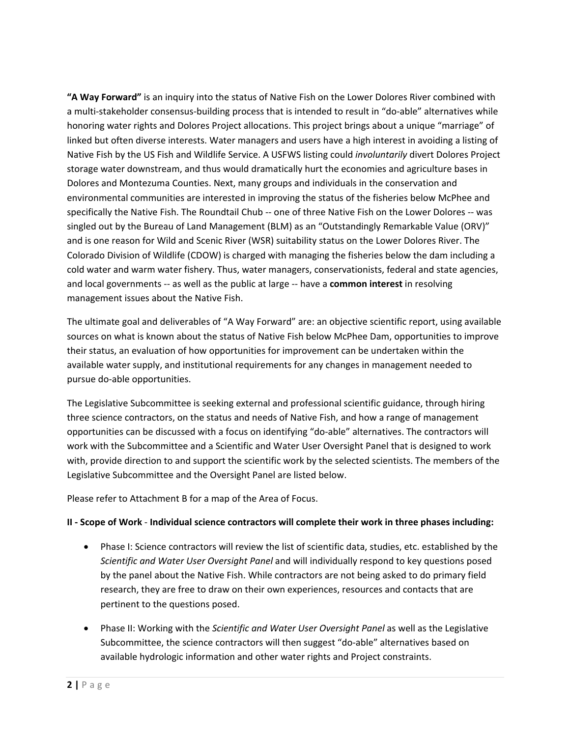**"A Way Forward"** is an inquiry into the status of Native Fish on the Lower Dolores River combined with a multi-stakeholder consensus-building process that is intended to result in "do-able" alternatives while honoring water rights and Dolores Project allocations. This project brings about a unique "marriage" of linked but often diverse interests. Water managers and users have a high interest in avoiding a listing of Native Fish by the US Fish and Wildlife Service. A USFWS listing could *involuntarily* divert Dolores Project storage water downstream, and thus would dramatically hurt the economies and agriculture bases in Dolores and Montezuma Counties. Next, many groups and individuals in the conservation and environmental communities are interested in improving the status of the fisheries below McPhee and specifically the Native Fish. The Roundtail Chub -- one of three Native Fish on the Lower Dolores -- was singled out by the Bureau of Land Management (BLM) as an "Outstandingly Remarkable Value (ORV)" and is one reason for Wild and Scenic River (WSR) suitability status on the Lower Dolores River. The Colorado Division of Wildlife (CDOW) is charged with managing the fisheries below the dam including a cold water and warm water fishery. Thus, water managers, conservationists, federal and state agencies, and local governments ‐‐ as well as the public at large ‐‐ have a **common interest** in resolving management issues about the Native Fish.

The ultimate goal and deliverables of "A Way Forward" are: an objective scientific report, using available sources on what is known about the status of Native Fish below McPhee Dam, opportunities to improve their status, an evaluation of how opportunities for improvement can be undertaken within the available water supply, and institutional requirements for any changes in management needed to pursue do‐able opportunities.

The Legislative Subcommittee is seeking external and professional scientific guidance, through hiring three science contractors, on the status and needs of Native Fish, and how a range of management opportunities can be discussed with a focus on identifying "do‐able" alternatives. The contractors will work with the Subcommittee and a Scientific and Water User Oversight Panel that is designed to work with, provide direction to and support the scientific work by the selected scientists. The members of the Legislative Subcommittee and the Oversight Panel are listed below.

Please refer to Attachment B for a map of the Area of Focus.

# **II ‐ Scope of Work** ‐ **Individual science contractors will complete their work in three phases including:**

- Phase I: Science contractors will review the list of scientific data, studies, etc. established by the *Scientific and Water User Oversight Panel* and will individually respond to key questions posed by the panel about the Native Fish. While contractors are not being asked to do primary field research, they are free to draw on their own experiences, resources and contacts that are pertinent to the questions posed.
- Phase II: Working with the *Scientific and Water User Oversight Panel* as well as the Legislative Subcommittee, the science contractors will then suggest "do‐able" alternatives based on available hydrologic information and other water rights and Project constraints.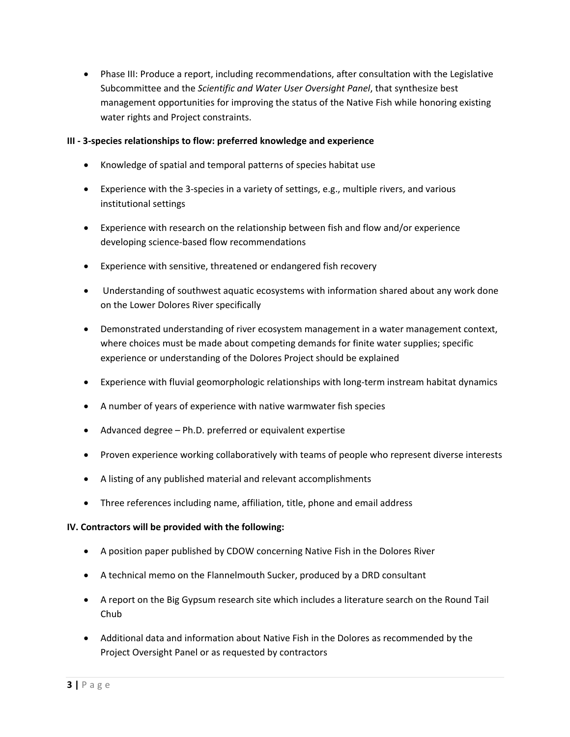Phase III: Produce a report, including recommendations, after consultation with the Legislative Subcommittee and the *Scientific and Water User Oversight Panel*, that synthesize best management opportunities for improving the status of the Native Fish while honoring existing water rights and Project constraints.

### **III ‐ 3‐species relationships to flow: preferred knowledge and experience**

- Knowledge of spatial and temporal patterns of species habitat use
- Experience with the 3‐species in a variety of settings, e.g., multiple rivers, and various institutional settings
- Experience with research on the relationship between fish and flow and/or experience developing science‐based flow recommendations
- Experience with sensitive, threatened or endangered fish recovery
- Understanding of southwest aquatic ecosystems with information shared about any work done on the Lower Dolores River specifically
- Demonstrated understanding of river ecosystem management in a water management context, where choices must be made about competing demands for finite water supplies; specific experience or understanding of the Dolores Project should be explained
- Experience with fluvial geomorphologic relationships with long-term instream habitat dynamics
- A number of years of experience with native warmwater fish species
- Advanced degree Ph.D. preferred or equivalent expertise
- Proven experience working collaboratively with teams of people who represent diverse interests
- A listing of any published material and relevant accomplishments
- Three references including name, affiliation, title, phone and email address

# **IV. Contractors will be provided with the following:**

- A position paper published by CDOW concerning Native Fish in the Dolores River
- A technical memo on the Flannelmouth Sucker, produced by a DRD consultant
- A report on the Big Gypsum research site which includes a literature search on the Round Tail Chub
- Additional data and information about Native Fish in the Dolores as recommended by the Project Oversight Panel or as requested by contractors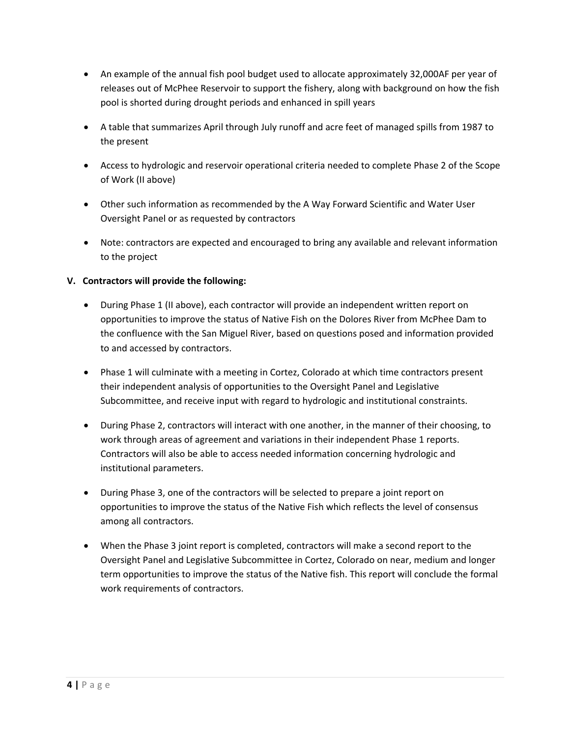- An example of the annual fish pool budget used to allocate approximately 32,000AF per year of releases out of McPhee Reservoir to support the fishery, along with background on how the fish pool is shorted during drought periods and enhanced in spill years
- A table that summarizes April through July runoff and acre feet of managed spills from 1987 to the present
- Access to hydrologic and reservoir operational criteria needed to complete Phase 2 of the Scope of Work (II above)
- Other such information as recommended by the A Way Forward Scientific and Water User Oversight Panel or as requested by contractors
- Note: contractors are expected and encouraged to bring any available and relevant information to the project

# **V. Contractors will provide the following:**

- During Phase 1 (II above), each contractor will provide an independent written report on opportunities to improve the status of Native Fish on the Dolores River from McPhee Dam to the confluence with the San Miguel River, based on questions posed and information provided to and accessed by contractors.
- Phase 1 will culminate with a meeting in Cortez, Colorado at which time contractors present their independent analysis of opportunities to the Oversight Panel and Legislative Subcommittee, and receive input with regard to hydrologic and institutional constraints.
- During Phase 2, contractors will interact with one another, in the manner of their choosing, to work through areas of agreement and variations in their independent Phase 1 reports. Contractors will also be able to access needed information concerning hydrologic and institutional parameters.
- During Phase 3, one of the contractors will be selected to prepare a joint report on opportunities to improve the status of the Native Fish which reflects the level of consensus among all contractors.
- When the Phase 3 joint report is completed, contractors will make a second report to the Oversight Panel and Legislative Subcommittee in Cortez, Colorado on near, medium and longer term opportunities to improve the status of the Native fish. This report will conclude the formal work requirements of contractors.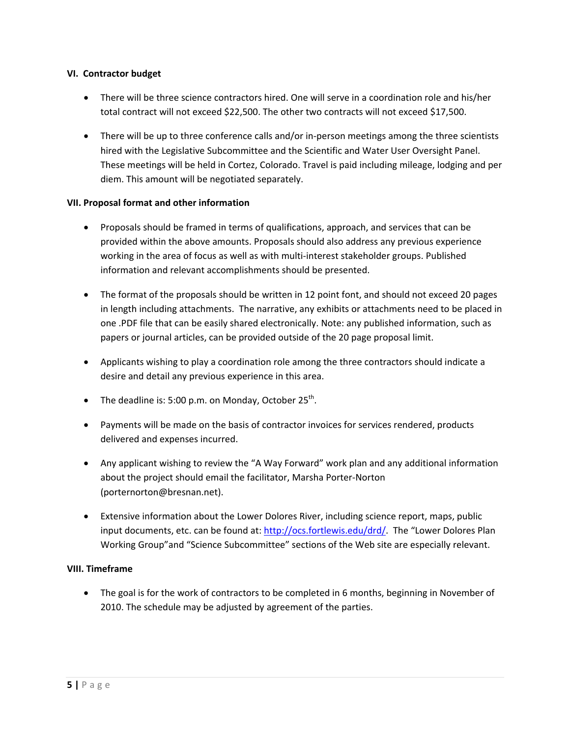### **VI. Contractor budget**

- There will be three science contractors hired. One will serve in a coordination role and his/her total contract will not exceed \$22,500. The other two contracts will not exceed \$17,500.
- There will be up to three conference calls and/or in-person meetings among the three scientists hired with the Legislative Subcommittee and the Scientific and Water User Oversight Panel. These meetings will be held in Cortez, Colorado. Travel is paid including mileage, lodging and per diem. This amount will be negotiated separately.

## **VII. Proposal format and other information**

- Proposals should be framed in terms of qualifications, approach, and services that can be provided within the above amounts. Proposals should also address any previous experience working in the area of focus as well as with multi-interest stakeholder groups. Published information and relevant accomplishments should be presented.
- The format of the proposals should be written in 12 point font, and should not exceed 20 pages in length including attachments. The narrative, any exhibits or attachments need to be placed in one .PDF file that can be easily shared electronically. Note: any published information, such as papers or journal articles, can be provided outside of the 20 page proposal limit.
- Applicants wishing to play a coordination role among the three contractors should indicate a desire and detail any previous experience in this area.
- The deadline is: 5:00 p.m. on Monday, October  $25^{th}$ .
- Payments will be made on the basis of contractor invoices for services rendered, products delivered and expenses incurred.
- Any applicant wishing to review the "A Way Forward" work plan and any additional information about the project should email the facilitator, Marsha Porter‐Norton (porternorton@bresnan.net).
- Extensive information about the Lower Dolores River, including science report, maps, public input documents, etc. can be found at: http://ocs.fortlewis.edu/drd/. The "Lower Dolores Plan Working Group"and "Science Subcommittee" sections of the Web site are especially relevant.

### **VIII. Timeframe**

• The goal is for the work of contractors to be completed in 6 months, beginning in November of 2010. The schedule may be adjusted by agreement of the parties.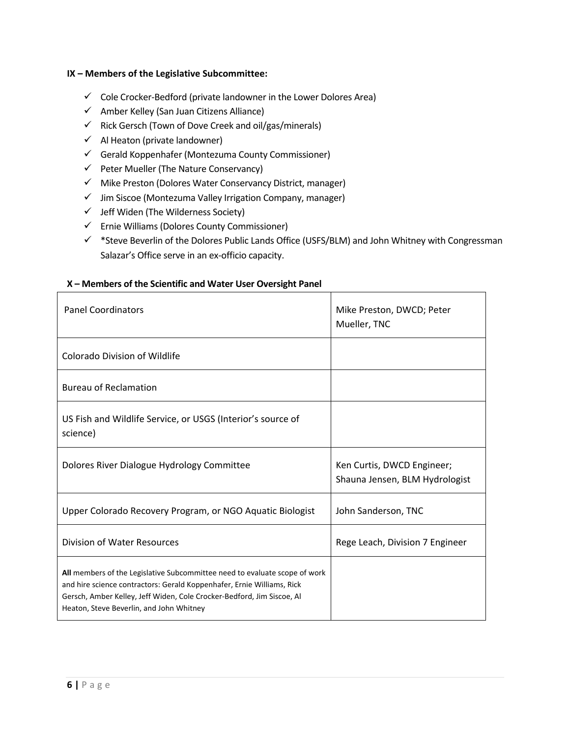### **IX – Members of the Legislative Subcommittee:**

- $\checkmark$  Cole Crocker-Bedford (private landowner in the Lower Dolores Area)
- $\checkmark$  Amber Kelley (San Juan Citizens Alliance)
- $\checkmark$  Rick Gersch (Town of Dove Creek and oil/gas/minerals)
- $\checkmark$  Al Heaton (private landowner)
- $\checkmark$  Gerald Koppenhafer (Montezuma County Commissioner)
- $\checkmark$  Peter Mueller (The Nature Conservancy)
- $\checkmark$  Mike Preston (Dolores Water Conservancy District, manager)
- $\checkmark$  Jim Siscoe (Montezuma Valley Irrigation Company, manager)
- $\checkmark$  Jeff Widen (The Wilderness Society)
- $\checkmark$  Ernie Williams (Dolores County Commissioner)
- $\checkmark$  \*Steve Beverlin of the Dolores Public Lands Office (USFS/BLM) and John Whitney with Congressman Salazar's Office serve in an ex‐officio capacity.

### **X – Members of the Scientific and Water User Oversight Panel**

| <b>Panel Coordinators</b>                                                                                                                                                                                                                                                  | Mike Preston, DWCD; Peter<br>Mueller, TNC                    |
|----------------------------------------------------------------------------------------------------------------------------------------------------------------------------------------------------------------------------------------------------------------------------|--------------------------------------------------------------|
| <b>Colorado Division of Wildlife</b>                                                                                                                                                                                                                                       |                                                              |
| <b>Bureau of Reclamation</b>                                                                                                                                                                                                                                               |                                                              |
| US Fish and Wildlife Service, or USGS (Interior's source of<br>science)                                                                                                                                                                                                    |                                                              |
| Dolores River Dialogue Hydrology Committee                                                                                                                                                                                                                                 | Ken Curtis, DWCD Engineer;<br>Shauna Jensen, BLM Hydrologist |
| Upper Colorado Recovery Program, or NGO Aquatic Biologist                                                                                                                                                                                                                  | John Sanderson, TNC                                          |
| Division of Water Resources                                                                                                                                                                                                                                                | Rege Leach, Division 7 Engineer                              |
| All members of the Legislative Subcommittee need to evaluate scope of work<br>and hire science contractors: Gerald Koppenhafer, Ernie Williams, Rick<br>Gersch, Amber Kelley, Jeff Widen, Cole Crocker-Bedford, Jim Siscoe, Al<br>Heaton, Steve Beverlin, and John Whitney |                                                              |